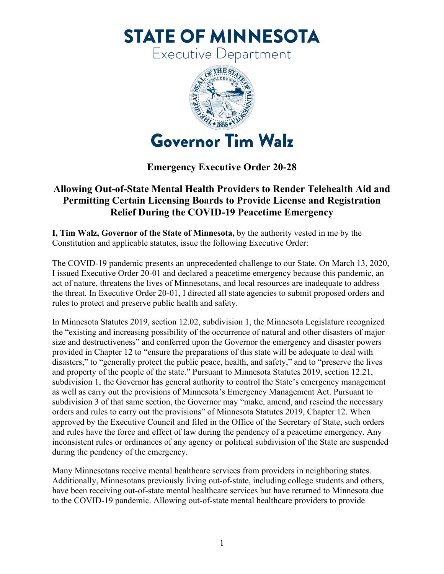**STATE OF MINNESOTA** 

Executive Department



## **Emergency Executive Order 20-28**

## **Allowing Out-of-State Mental Health Providers to Render Telehealth Aid and Permitting Certain Licensing Boards to Provide License and Registration Relief During the COVID-19 Peacetime Emergency**

**I, Tim Walz, Governor of the State of Minnesota,** by the authority vested in me by the Constitution and applicable statutes, issue the following Executive Order:

The COVID-19 pandemic presents an unprecedented challenge to our State. On March 13, 2020, I issued Executive Order 20-01 and declared a peacetime emergency because this pandemic, an act of nature, threatens the lives of Minnesotans, and local resources are inadequate to address the threat. In Executive Order 20-01, I directed all state agencies to submit proposed orders and rules to protect and preserve public health and safety.

In Minnesota Statutes 2019, section 12.02, subdivision 1, the Minnesota Legislature recognized the "existing and increasing possibility of the occurrence of natural and other disasters of major size and destructiveness" and conferred upon the Governor the emergency and disaster powers provided in Chapter 12 to "ensure the preparations of this state will be adequate to deal with disasters," to "generally protect the public peace, health, and safety," and to "preserve the lives and property of the people of the state." Pursuant to Minnesota Statutes 2019, section 12.21, subdivision 1, the Governor has general authority to control the State's emergency management as well as carry out the provisions of Minnesota's Emergency Management Act. Pursuant to subdivision 3 of that same section, the Governor may "make, amend, and rescind the necessary orders and rules to carry out the provisions" of Minnesota Statutes 2019, Chapter 12. When approved by the Executive Council and filed in the Office of the Secretary of State, such orders and rules have the force and effect of law during the pendency of a peacetime emergency. Any inconsistent rules or ordinances of any agency or political subdivision of the State are suspended during the pendency of the emergency.

Many Minnesotans receive mental healthcare services from providers in neighboring states. Additionally, Minnesotans previously living out-of-state, including college students and others, have been receiving out-of-state mental healthcare services but have returned to Minnesota due to the COVID-19 pandemic. Allowing out-of-state mental healthcare providers to provide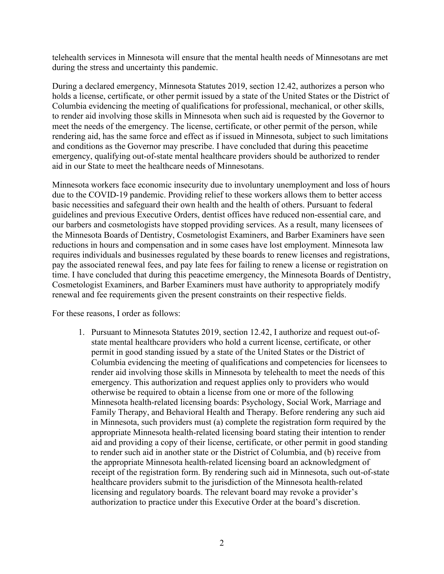telehealth services in Minnesota will ensure that the mental health needs of Minnesotans are met during the stress and uncertainty this pandemic.

During a declared emergency, Minnesota Statutes 2019, section 12.42, authorizes a person who holds a license, certificate, or other permit issued by a state of the United States or the District of Columbia evidencing the meeting of qualifications for professional, mechanical, or other skills, to render aid involving those skills in Minnesota when such aid is requested by the Governor to meet the needs of the emergency. The license, certificate, or other permit of the person, while rendering aid, has the same force and effect as if issued in Minnesota, subject to such limitations and conditions as the Governor may prescribe. I have concluded that during this peacetime emergency, qualifying out-of-state mental healthcare providers should be authorized to render aid in our State to meet the healthcare needs of Minnesotans.

Minnesota workers face economic insecurity due to involuntary unemployment and loss of hours due to the COVID-19 pandemic. Providing relief to these workers allows them to better access basic necessities and safeguard their own health and the health of others. Pursuant to federal guidelines and previous Executive Orders, dentist offices have reduced non-essential care, and our barbers and cosmetologists have stopped providing services. As a result, many licensees of the Minnesota Boards of Dentistry, Cosmetologist Examiners, and Barber Examiners have seen reductions in hours and compensation and in some cases have lost employment. Minnesota law requires individuals and businesses regulated by these boards to renew licenses and registrations, pay the associated renewal fees, and pay late fees for failing to renew a license or registration on time. I have concluded that during this peacetime emergency, the Minnesota Boards of Dentistry, Cosmetologist Examiners, and Barber Examiners must have authority to appropriately modify renewal and fee requirements given the present constraints on their respective fields.

For these reasons, I order as follows:

1. Pursuant to Minnesota Statutes 2019, section 12.42, I authorize and request out-ofstate mental healthcare providers who hold a current license, certificate, or other permit in good standing issued by a state of the United States or the District of Columbia evidencing the meeting of qualifications and competencies for licensees to render aid involving those skills in Minnesota by telehealth to meet the needs of this emergency. This authorization and request applies only to providers who would otherwise be required to obtain a license from one or more of the following Minnesota health-related licensing boards: Psychology, Social Work, Marriage and Family Therapy, and Behavioral Health and Therapy. Before rendering any such aid in Minnesota, such providers must (a) complete the registration form required by the appropriate Minnesota health-related licensing board stating their intention to render aid and providing a copy of their license, certificate, or other permit in good standing to render such aid in another state or the District of Columbia, and (b) receive from the appropriate Minnesota health-related licensing board an acknowledgment of receipt of the registration form. By rendering such aid in Minnesota, such out-of-state healthcare providers submit to the jurisdiction of the Minnesota health-related licensing and regulatory boards. The relevant board may revoke a provider's authorization to practice under this Executive Order at the board's discretion.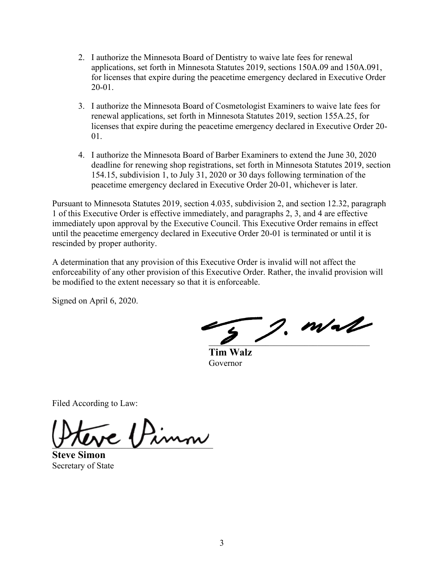- 2. I authorize the Minnesota Board of Dentistry to waive late fees for renewal applications, set forth in Minnesota Statutes 2019, sections 150A.09 and 150A.091, for licenses that expire during the peacetime emergency declared in Executive Order 20-01.
- 3. I authorize the Minnesota Board of Cosmetologist Examiners to waive late fees for renewal applications, set forth in Minnesota Statutes 2019, section 155A.25, for licenses that expire during the peacetime emergency declared in Executive Order 20- 01.
- 4. I authorize the Minnesota Board of Barber Examiners to extend the June 30, 2020 deadline for renewing shop registrations, set forth in Minnesota Statutes 2019, section 154.15, subdivision 1, to July 31, 2020 or 30 days following termination of the peacetime emergency declared in Executive Order 20-01, whichever is later.

Pursuant to Minnesota Statutes 2019, section 4.035, subdivision 2, and section 12.32, paragraph 1 of this Executive Order is effective immediately, and paragraphs 2, 3, and 4 are effective immediately upon approval by the Executive Council. This Executive Order remains in effect until the peacetime emergency declared in Executive Order 20-01 is terminated or until it is rescinded by proper authority.

A determination that any provision of this Executive Order is invalid will not affect the enforceability of any other provision of this Executive Order. Rather, the invalid provision will be modified to the extent necessary so that it is enforceable.

Signed on April 6, 2020.

 $-$  2. m/s/

 **Tim Walz** Governor

Filed According to Law:

 $-1$ Pimn

**Steve Simon** Secretary of State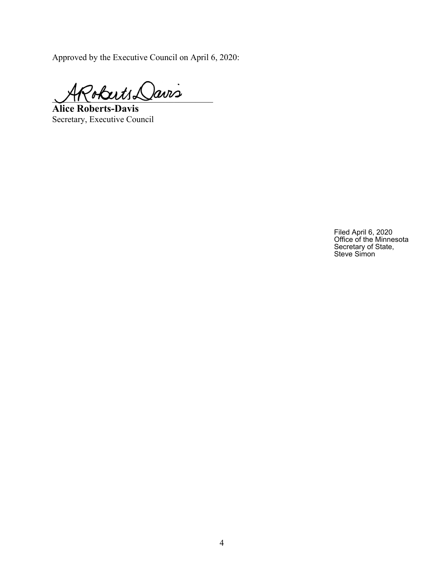Approved by the Executive Council on April 6, 2020:

 $P_{obtut}$  Davis

**Alice Roberts-Davis** Secretary, Executive Council

Filed April 6, 2020 Office of the Minnesota Secretary of State, Steve Simon